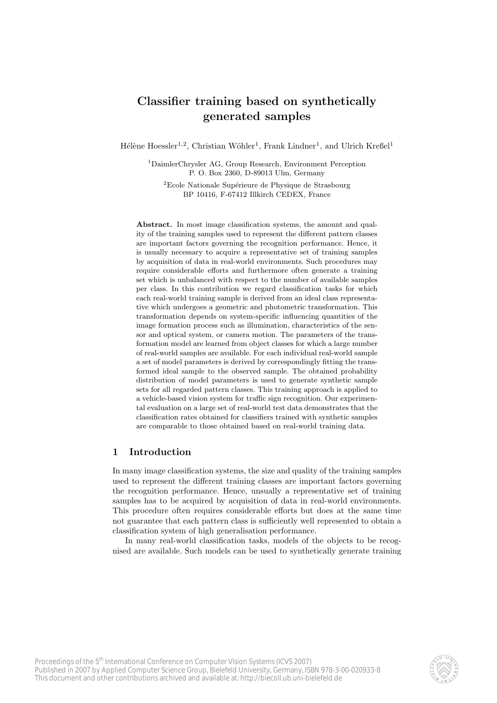# Classifier training based on synthetically generated samples

Hélène Hoessler<sup>1,2</sup>, Christian Wöhler<sup>1</sup>, Frank Lindner<sup>1</sup>, and Ulrich Kreßel<sup>1</sup>

<sup>1</sup>DaimlerChrysler AG, Group Research, Environment Perception P. O. Box 2360, D-89013 Ulm, Germany

<sup>2</sup>Ecole Nationale Supérieure de Physique de Strasbourg BP 10416, F-67412 Illkirch CEDEX, France

Abstract. In most image classification systems, the amount and quality of the training samples used to represent the different pattern classes are important factors governing the recognition performance. Hence, it is usually necessary to acquire a representative set of training samples by acquisition of data in real-world environments. Such procedures may require considerable efforts and furthermore often generate a training set which is unbalanced with respect to the number of available samples per class. In this contribution we regard classification tasks for which each real-world training sample is derived from an ideal class representative which undergoes a geometric and photometric transformation. This transformation depends on system-specific influencing quantities of the image formation process such as illumination, characteristics of the sensor and optical system, or camera motion. The parameters of the transformation model are learned from object classes for which a large number of real-world samples are available. For each individual real-world sample a set of model parameters is derived by correspondingly fitting the transformed ideal sample to the observed sample. The obtained probability distribution of model parameters is used to generate synthetic sample sets for all regarded pattern classes. This training approach is applied to a vehicle-based vision system for traffic sign recognition. Our experimental evaluation on a large set of real-world test data demonstrates that the classification rates obtained for classifiers trained with synthetic samples are comparable to those obtained based on real-world training data.

# 1 Introduction

In many image classification systems, the size and quality of the training samples used to represent the different training classes are important factors governing the recognition performance. Hence, unsually a representative set of training samples has to be acquired by acquisition of data in real-world environments. This procedure often requires considerable efforts but does at the same time not guarantee that each pattern class is sufficiently well represented to obtain a classification system of high generalisation performance.

In many real-world classification tasks, models of the objects to be recognised are available. Such models can be used to synthetically generate training

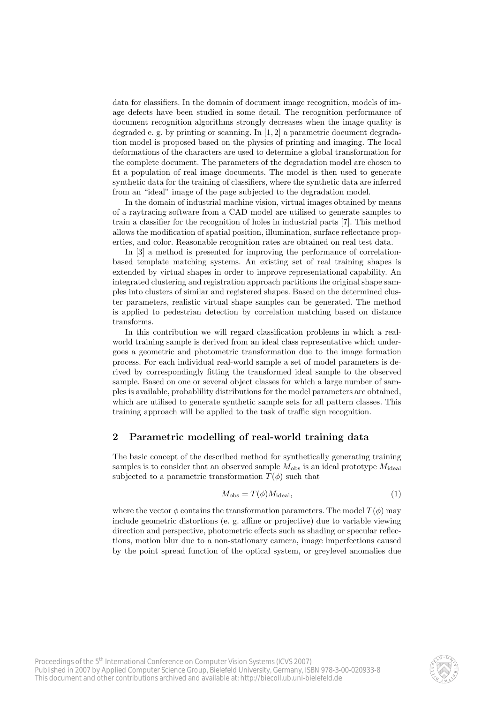data for classifiers. In the domain of document image recognition, models of image defects have been studied in some detail. The recognition performance of document recognition algorithms strongly decreases when the image quality is degraded e. g. by printing or scanning. In [1, 2] a parametric document degradation model is proposed based on the physics of printing and imaging. The local deformations of the characters are used to determine a global transformation for the complete document. The parameters of the degradation model are chosen to fit a population of real image documents. The model is then used to generate synthetic data for the training of classifiers, where the synthetic data are inferred from an "ideal" image of the page subjected to the degradation model.

In the domain of industrial machine vision, virtual images obtained by means of a raytracing software from a CAD model are utilised to generate samples to train a classifier for the recognition of holes in industrial parts [7]. This method allows the modification of spatial position, illumination, surface reflectance properties, and color. Reasonable recognition rates are obtained on real test data.

In [3] a method is presented for improving the performance of correlationbased template matching systems. An existing set of real training shapes is extended by virtual shapes in order to improve representational capability. An integrated clustering and registration approach partitions the original shape samples into clusters of similar and registered shapes. Based on the determined cluster parameters, realistic virtual shape samples can be generated. The method is applied to pedestrian detection by correlation matching based on distance transforms.

In this contribution we will regard classification problems in which a realworld training sample is derived from an ideal class representative which undergoes a geometric and photometric transformation due to the image formation process. For each individual real-world sample a set of model parameters is derived by correspondingly fitting the transformed ideal sample to the observed sample. Based on one or several object classes for which a large number of samples is available, probablility distributions for the model parameters are obtained, which are utilised to generate synthetic sample sets for all pattern classes. This training approach will be applied to the task of traffic sign recognition.

# 2 Parametric modelling of real-world training data

The basic concept of the described method for synthetically generating training samples is to consider that an observed sample  $M_{obs}$  is an ideal prototype  $M_{ideal}$ subjected to a parametric transformation  $T(\phi)$  such that

$$
M_{\rm obs} = T(\phi) M_{\rm ideal},\tag{1}
$$

where the vector  $\phi$  contains the transformation parameters. The model  $T(\phi)$  may include geometric distortions (e. g. affine or projective) due to variable viewing direction and perspective, photometric effects such as shading or specular reflections, motion blur due to a non-stationary camera, image imperfections caused by the point spread function of the optical system, or greylevel anomalies due

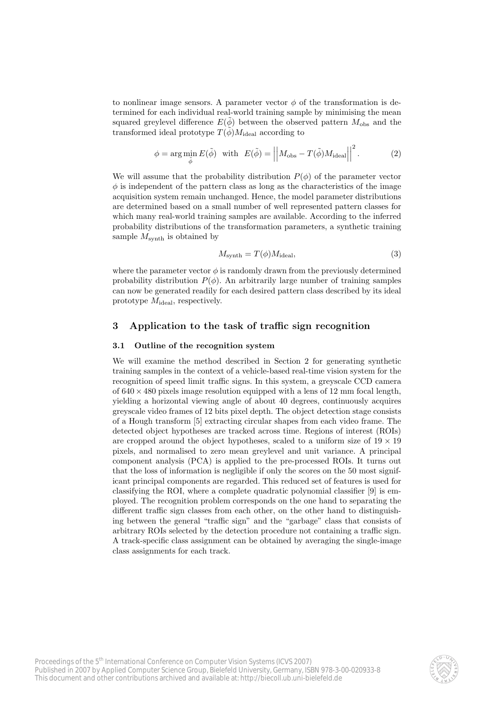to nonlinear image sensors. A parameter vector  $\phi$  of the transformation is determined for each individual real-world training sample by minimising the mean squared greylevel difference  $E(\tilde{\phi})$  between the observed pattern  $M_{obs}$  and the transformed ideal prototype  $T(\phi)M_{\text{ideal}}$  according to

$$
\phi = \arg\min_{\tilde{\phi}} E(\tilde{\phi}) \quad \text{with} \quad E(\tilde{\phi}) = \left| \left| M_{\text{obs}} - T(\tilde{\phi}) M_{\text{ideal}} \right| \right|^2. \tag{2}
$$

We will assume that the probability distribution  $P(\phi)$  of the parameter vector  $\phi$  is independent of the pattern class as long as the characteristics of the image acquisition system remain unchanged. Hence, the model parameter distributions are determined based on a small number of well represented pattern classes for which many real-world training samples are available. According to the inferred probability distributions of the transformation parameters, a synthetic training sample  $M_{\text{synth}}$  is obtained by

$$
M_{\text{symb}} = T(\phi)M_{\text{ideal}},\tag{3}
$$

where the parameter vector  $\phi$  is randomly drawn from the previously determined probability distribution  $P(\phi)$ . An arbitrarily large number of training samples can now be generated readily for each desired pattern class described by its ideal prototype  $M_{\text{ideal}}$ , respectively.

# 3 Application to the task of traffic sign recognition

### 3.1 Outline of the recognition system

We will examine the method described in Section 2 for generating synthetic training samples in the context of a vehicle-based real-time vision system for the recognition of speed limit traffic signs. In this system, a greyscale CCD camera of  $640 \times 480$  pixels image resolution equipped with a lens of 12 mm focal length, yielding a horizontal viewing angle of about 40 degrees, continuously acquires greyscale video frames of 12 bits pixel depth. The object detection stage consists of a Hough transform [5] extracting circular shapes from each video frame. The detected object hypotheses are tracked across time. Regions of interest (ROIs) are cropped around the object hypotheses, scaled to a uniform size of  $19 \times 19$ pixels, and normalised to zero mean greylevel and unit variance. A principal component analysis (PCA) is applied to the pre-processed ROIs. It turns out that the loss of information is negligible if only the scores on the 50 most significant principal components are regarded. This reduced set of features is used for classifying the ROI, where a complete quadratic polynomial classifier [9] is employed. The recognition problem corresponds on the one hand to separating the different traffic sign classes from each other, on the other hand to distinguishing between the general "traffic sign" and the "garbage" class that consists of arbitrary ROIs selected by the detection procedure not containing a traffic sign. A track-specific class assignment can be obtained by averaging the single-image class assignments for each track.

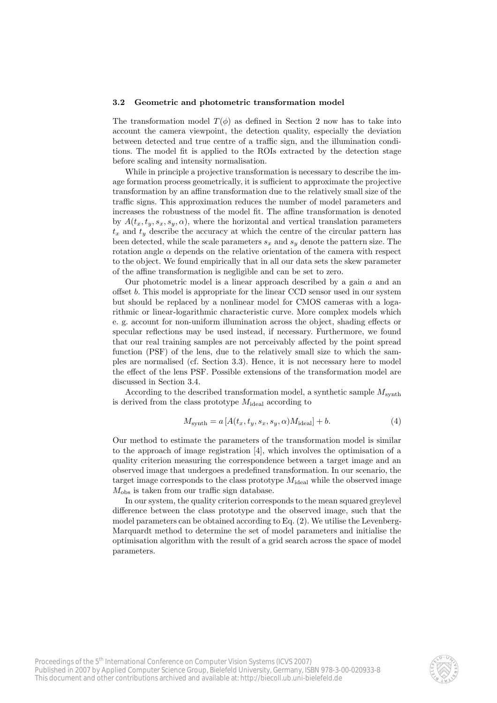#### 3.2 Geometric and photometric transformation model

The transformation model  $T(\phi)$  as defined in Section 2 now has to take into account the camera viewpoint, the detection quality, especially the deviation between detected and true centre of a traffic sign, and the illumination conditions. The model fit is applied to the ROIs extracted by the detection stage before scaling and intensity normalisation.

While in principle a projective transformation is necessary to describe the image formation process geometrically, it is sufficient to approximate the projective transformation by an affine transformation due to the relatively small size of the traffic signs. This approximation reduces the number of model parameters and increases the robustness of the model fit. The affine transformation is denoted by  $A(t_x, t_y, s_x, s_y, \alpha)$ , where the horizontal and vertical translation parameters  $t_x$  and  $t_y$  describe the accuracy at which the centre of the circular pattern has been detected, while the scale parameters  $s_x$  and  $s_y$  denote the pattern size. The rotation angle  $\alpha$  depends on the relative orientation of the camera with respect to the object. We found empirically that in all our data sets the skew parameter of the affine transformation is negligible and can be set to zero.

Our photometric model is a linear approach described by a gain  $a$  and an offset b. This model is appropriate for the linear CCD sensor used in our system but should be replaced by a nonlinear model for CMOS cameras with a logarithmic or linear-logarithmic characteristic curve. More complex models which e. g. account for non-uniform illumination across the object, shading effects or specular reflections may be used instead, if necessary. Furthermore, we found that our real training samples are not perceivably affected by the point spread function (PSF) of the lens, due to the relatively small size to which the samples are normalised (cf. Section 3.3). Hence, it is not necessary here to model the effect of the lens PSF. Possible extensions of the transformation model are discussed in Section 3.4.

According to the described transformation model, a synthetic sample  $M_{\text{synth}}$ is derived from the class prototype  $M_{\text{ideal}}$  according to

$$
M_{\text{synth}} = a \left[ A(t_x, t_y, s_x, s_y, \alpha) M_{\text{ideal}} \right] + b. \tag{4}
$$

Our method to estimate the parameters of the transformation model is similar to the approach of image registration [4], which involves the optimisation of a quality criterion measuring the correspondence between a target image and an observed image that undergoes a predefined transformation. In our scenario, the target image corresponds to the class prototype  $M_{\text{ideal}}$  while the observed image  $M_{\text{obs}}$  is taken from our traffic sign database.

In our system, the quality criterion corresponds to the mean squared greylevel difference between the class prototype and the observed image, such that the model parameters can be obtained according to Eq. (2). We utilise the Levenberg-Marquardt method to determine the set of model parameters and initialise the optimisation algorithm with the result of a grid search across the space of model parameters.

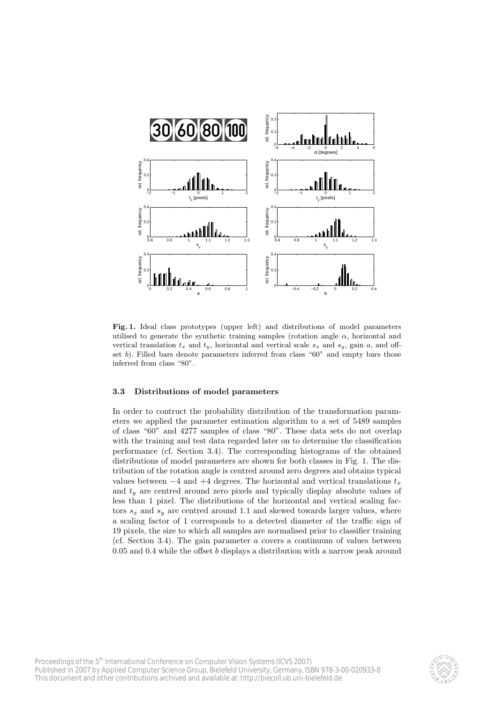

Fig. 1. Ideal class prototypes (upper left) and distributions of model parameters utilised to generate the synthetic training samples (rotation angle  $\alpha$ , horizontal and vertical translation  $t_x$  and  $t_y$ , horizontal and vertical scale  $s_x$  and  $s_y$ , gain a, and offset b). Filled bars denote parameters inferred from class "60" and empty bars those inferred from class "80".

### 3.3 Distributions of model parameters

In order to contruct the probability distribution of the transformation parameters we applied the parameter estimation algorithm to a set of 5489 samples of class "60" and 4277 samples of class "80". These data sets do not overlap with the training and test data regarded later on to determine the classification performance (cf. Section 3.4). The corresponding histograms of the obtained distributions of model parameters are shown for both classes in Fig. 1. The distribution of the rotation angle is centred around zero degrees and obtains typical values between  $-4$  and  $+4$  degrees. The horizontal and vertical translations  $t_x$ and  $t<sub>y</sub>$  are centred around zero pixels and typically display absolute values of less than 1 pixel. The distributions of the horizontal and vertical scaling factors  $s_x$  and  $s_y$  are centred around 1.1 and skewed towards larger values, where a scaling factor of 1 corresponds to a detected diameter of the traffic sign of 19 pixels, the size to which all samples are normalised prior to classifier training (cf. Section 3.4). The gain parameter  $\alpha$  covers a continuum of values between  $0.05$  and  $0.4$  while the offset b displays a distribution with a narrow peak around

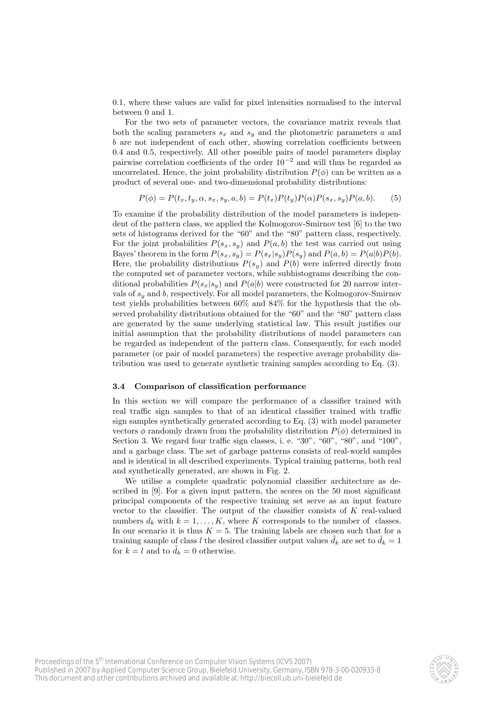0.1, where these values are valid for pixel intensities normalised to the interval between 0 and 1.

For the two sets of parameter vectors, the covariance matrix reveals that both the scaling parameters  $s_x$  and  $s_y$  and the photometric parameters a and b are not independent of each other, showing correlation coefficients between 0.4 and 0.5, respectively. All other possible pairs of model parameters display pairwise correlation coefficients of the order  $10^{-2}$  and will thus be regarded as uncorrelated. Hence, the joint probability distribution  $P(\phi)$  can be written as a product of several one- and two-dimensional probability distributions:

$$
P(\phi) = P(t_x, t_y, \alpha, s_x, s_y, a, b) = P(t_x)P(t_y)P(\alpha)P(s_x, s_y)P(a, b).
$$
 (5)

To examine if the probability distribution of the model parameters is independent of the pattern class, we applied the Kolmogorov-Smirnov test [6] to the two sets of histograms derived for the "60" and the "80" pattern class, respectively. For the joint probabilities  $P(s_x, s_y)$  and  $P(a, b)$  the test was carried out using Bayes' theorem in the form  $P(s_x, s_y) = P(s_x|s_y)P(s_y)$  and  $P(a, b) = P(a|b)P(b)$ . Here, the probability distributions  $P(s_y)$  and  $P(b)$  were inferred directly from the computed set of parameter vectors, while subhistograms describing the conditional probabilities  $P(s_x|s_y)$  and  $P(a|b)$  were constructed for 20 narrow intervals of  $s_y$  and b, respectively. For all model parameters, the Kolmogorov-Smirnov test yields probabilities between 60% and 84% for the hypothesis that the observed probability distributions obtained for the "60" and the "80" pattern class are generated by the same underlying statistical law. This result justifies our initial assumption that the probability distributions of model parameters can be regarded as independent of the pattern class. Consequently, for each model parameter (or pair of model parameters) the respective average probability distribution was used to generate synthetic training samples according to Eq. (3).

### 3.4 Comparison of classification performance

In this section we will compare the performance of a classifier trained with real traffic sign samples to that of an identical classifier trained with traffic sign samples synthetically generated according to Eq. (3) with model parameter vectors  $\phi$  randomly drawn from the probability distribution  $P(\phi)$  determined in Section 3. We regard four traffic sign classes, i. e. "30", "60", "80", and "100", and a garbage class. The set of garbage patterns consists of real-world samples and is identical in all described experiments. Typical training patterns, both real and synthetically generated, are shown in Fig. 2.

We utilise a complete quadratic polynomial classifier architecture as described in [9]. For a given input pattern, the scores on the 50 most significant principal components of the respective training set serve as an input feature vector to the classifier. The output of the classifier consists of  $K$  real-valued numbers  $d_k$  with  $k = 1, ..., K$ , where K corresponds to the number of classes. In our scenario it is thus  $K = 5$ . The training labels are chosen such that for a training sample of class l the desired classifier output values  $\tilde{d}_k$  are set to  $\tilde{d}_k = 1$ for  $k = l$  and to  $d_k = 0$  otherwise.

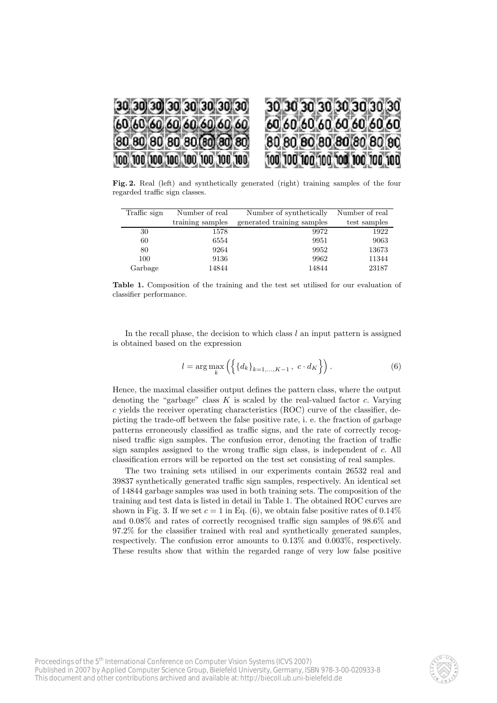

Fig. 2. Real (left) and synthetically generated (right) training samples of the four regarded traffic sign classes.

| Traffic sign | Number of real   | Number of synthetically    | Number of real |
|--------------|------------------|----------------------------|----------------|
|              | training samples | generated training samples | test samples   |
| 30           | 1578             | 9972                       | 1922           |
| 60           | 6554             | 9951                       | 9063           |
| 80           | 9264             | 9952                       | 13673          |
| 100          | 9136             | 9962                       | 11344          |
| Garbage      | 14844            | 14844                      | 23187          |

Table 1. Composition of the training and the test set utilised for our evaluation of classifier performance.

In the recall phase, the decision to which class  $l$  an input pattern is assigned is obtained based on the expression

$$
l = \arg \max_{k} \left( \left\{ \{ d_k \}_{k=1,...,K-1}, \ c \cdot d_K \right\} \right). \tag{6}
$$

Hence, the maximal classifier output defines the pattern class, where the output denoting the "garbage" class  $K$  is scaled by the real-valued factor  $c$ . Varying  $c$  yields the receiver operating characteristics (ROC) curve of the classifier, depicting the trade-off between the false positive rate, i. e. the fraction of garbage patterns erroneously classified as traffic signs, and the rate of correctly recognised traffic sign samples. The confusion error, denoting the fraction of traffic sign samples assigned to the wrong traffic sign class, is independent of c. All classification errors will be reported on the test set consisting of real samples.

The two training sets utilised in our experiments contain 26532 real and 39837 synthetically generated traffic sign samples, respectively. An identical set of 14844 garbage samples was used in both training sets. The composition of the training and test data is listed in detail in Table 1. The obtained ROC curves are shown in Fig. 3. If we set  $c = 1$  in Eq. (6), we obtain false positive rates of 0.14% and 0.08% and rates of correctly recognised traffic sign samples of 98.6% and 97.2% for the classifier trained with real and synthetically generated samples, respectively. The confusion error amounts to 0.13% and 0.003%, respectively. These results show that within the regarded range of very low false positive

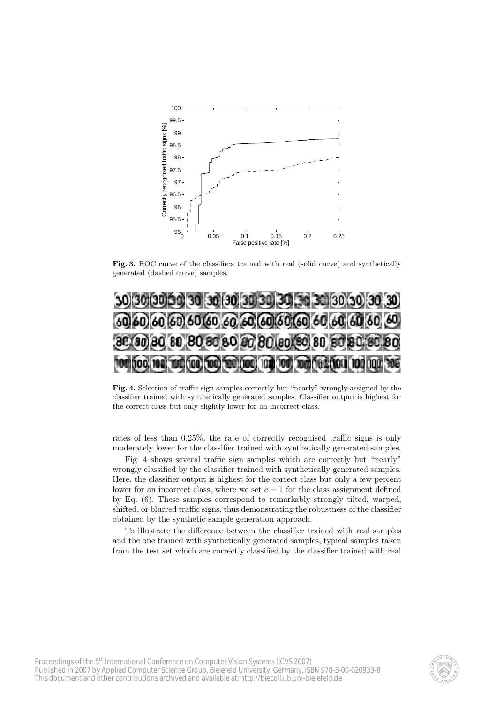

Fig. 3. ROC curve of the classifiers trained with real (solid curve) and synthetically generated (dashed curve) samples.



Fig. 4. Selection of traffic sign samples correctly but "nearly" wrongly assigned by the classifier trained with synthetically generated samples. Classifier output is highest for the correct class but only slightly lower for an incorrect class.

rates of less than 0.25%, the rate of correctly recognised traffic signs is only moderately lower for the classifier trained with synthetically generated samples.

Fig. 4 shows several traffic sign samples which are correctly but "nearly" wrongly classified by the classifier trained with synthetically generated samples. Here, the classifier output is highest for the correct class but only a few percent lower for an incorrect class, where we set  $c = 1$  for the class assignment defined by Eq. (6). These samples correspond to remarkably strongly tilted, warped, shifted, or blurred traffic signs, thus demonstrating the robustness of the classifier obtained by the synthetic sample generation approach.

To illustrate the difference between the classifier trained with real samples and the one trained with synthetically generated samples, typical samples taken from the test set which are correctly classified by the classifier trained with real

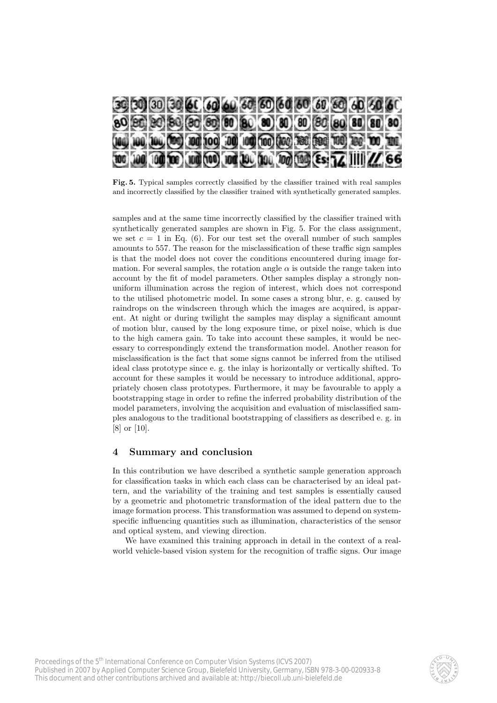

Fig. 5. Typical samples correctly classified by the classifier trained with real samples and incorrectly classified by the classifier trained with synthetically generated samples.

samples and at the same time incorrectly classified by the classifier trained with synthetically generated samples are shown in Fig. 5. For the class assignment, we set  $c = 1$  in Eq. (6). For our test set the overall number of such samples amounts to 557. The reason for the misclassification of these traffic sign samples is that the model does not cover the conditions encountered during image formation. For several samples, the rotation angle  $\alpha$  is outside the range taken into account by the fit of model parameters. Other samples display a strongly nonuniform illumination across the region of interest, which does not correspond to the utilised photometric model. In some cases a strong blur, e. g. caused by raindrops on the windscreen through which the images are acquired, is apparent. At night or during twilight the samples may display a significant amount of motion blur, caused by the long exposure time, or pixel noise, which is due to the high camera gain. To take into account these samples, it would be necessary to correspondingly extend the transformation model. Another reason for misclassification is the fact that some signs cannot be inferred from the utilised ideal class prototype since e. g. the inlay is horizontally or vertically shifted. To account for these samples it would be necessary to introduce additional, appropriately chosen class prototypes. Furthermore, it may be favourable to apply a bootstrapping stage in order to refine the inferred probability distribution of the model parameters, involving the acquisition and evaluation of misclassified samples analogous to the traditional bootstrapping of classifiers as described e. g. in [8] or [10].

# 4 Summary and conclusion

In this contribution we have described a synthetic sample generation approach for classification tasks in which each class can be characterised by an ideal pattern, and the variability of the training and test samples is essentially caused by a geometric and photometric transformation of the ideal pattern due to the image formation process. This transformation was assumed to depend on systemspecific influencing quantities such as illumination, characteristics of the sensor and optical system, and viewing direction.

We have examined this training approach in detail in the context of a realworld vehicle-based vision system for the recognition of traffic signs. Our image